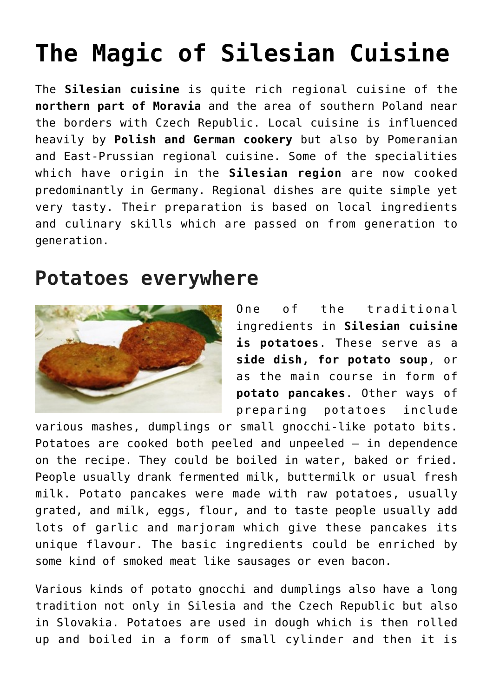## **[The Magic of Silesian Cuisine](https://www.czechcuisine.net/magic-silesian-cuisine/)**

The **Silesian cuisine** is quite rich regional cuisine of the **northern part of Moravia** and the area of southern Poland near the borders with Czech Republic. Local cuisine is influenced heavily by **Polish and German cookery** but also by Pomeranian and East-Prussian regional cuisine. Some of the specialities which have origin in the **Silesian region** are now cooked predominantly in Germany. Regional dishes are quite simple yet very tasty. Their preparation is based on local ingredients and culinary skills which are passed on from generation to generation.

## **Potatoes everywhere**



One of the traditional ingredients in **Silesian cuisine is potatoes**. These serve as a **side dish, for [potato soup](http://www.czechcuisine.net/potato-soup/)**, or as the main course in form of **[potato pancakes](http://www.czechcuisine.net/potato-pancakes/)**. Other ways of preparing potatoes include

various mashes, dumplings or small gnocchi-like potato bits. Potatoes are cooked both peeled and unpeeled – in dependence on the recipe. They could be boiled in water, baked or fried. People usually drank fermented milk, buttermilk or usual fresh milk. Potato pancakes were made with raw potatoes, usually grated, and milk, eggs, flour, and to taste people usually add lots of garlic and marjoram which give these pancakes its unique flavour. The basic ingredients could be enriched by some kind of smoked meat like sausages or even bacon.

Various kinds of potato gnocchi and dumplings also have a long tradition not only in Silesia and the Czech Republic but also in Slovakia. Potatoes are used in dough which is then rolled up and boiled in a form of small cylinder and then it is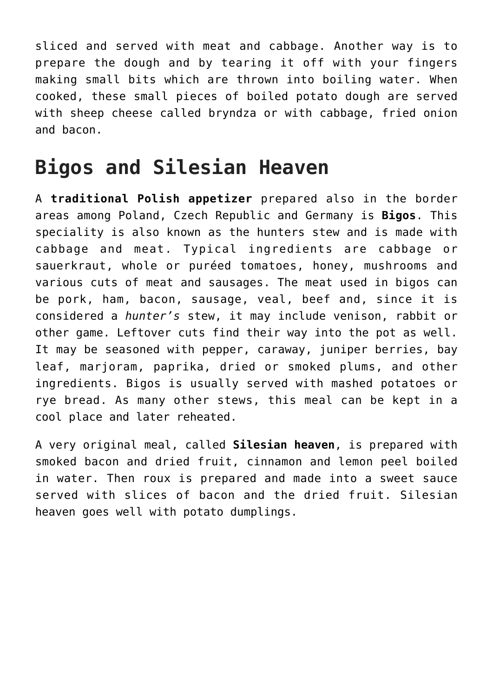sliced and served with meat and cabbage. Another way is to prepare the dough and by tearing it off with your fingers making small bits which are thrown into boiling water. When cooked, these small pieces of boiled potato dough are served with sheep cheese called bryndza or with cabbage, fried onion and bacon.

## **Bigos and Silesian Heaven**

A **traditional Polish appetizer** prepared also in the border areas among Poland, Czech Republic and Germany is **Bigos**. This speciality is also known as the hunters stew and is made with cabbage and meat. Typical ingredients are cabbage or sauerkraut, whole or puréed tomatoes, honey, mushrooms and various cuts of meat and sausages. The meat used in bigos can be pork, ham, bacon, sausage, veal, beef and, since it is considered a *hunter's* stew, it may include venison, rabbit or other game. Leftover cuts find their way into the pot as well. It may be seasoned with pepper, caraway, juniper berries, bay leaf, marjoram, paprika, dried or smoked plums, and other ingredients. Bigos is usually served with mashed potatoes or rye bread. As many other stews, this meal can be kept in a cool place and later reheated.

A very original meal, called **Silesian heaven**, is prepared with smoked bacon and dried fruit, cinnamon and lemon peel boiled in water. Then roux is prepared and made into a sweet sauce served with slices of bacon and the dried fruit. Silesian heaven goes well with potato dumplings.